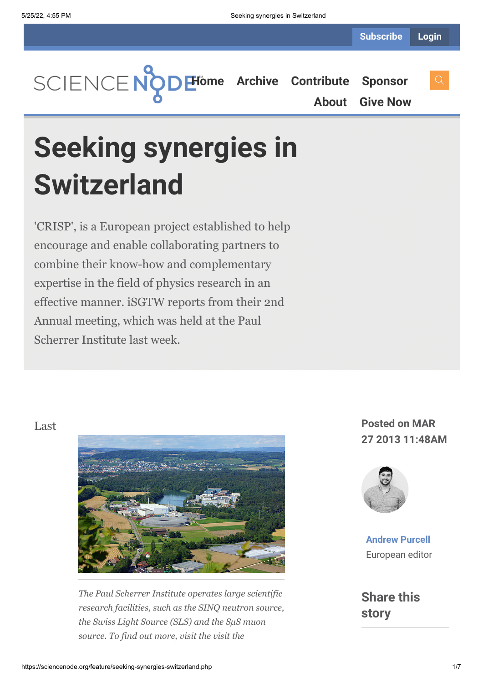**[Home](https://sciencenode.org/) [Archive](https://sciencenode.org/archive/index.php) [Contribute](https://sciencenode.org/contribute/index.php) [Sponsor](https://sciencenode.org/sponsor/index.php) [About](https://sciencenode.org/about/index.php) [Give Now](https://sciencenode.org/donate/index.php)**

# **Seeking synergies in Switzerland**

'CRISP', is a European project established to help encourage and enable collaborating partners to combine their know-how and complementary expertise in the field of physics research in an effective manner. iSGTW reports from their 2nd Annual meeting, which was held at the Paul Scherrer Institute last week.



*The Paul Scherrer Institute operates large scientific research facilities, such as the SINQ neutron source, the Swiss Light Source (SLS) and the SμS muon source. To find out more, visit the visit the*

## **27 2013 11:48AM**



**[Andrew Purcell](https://sciencenode.org/author/andrew-purcell.php)** European editor

**Share this story**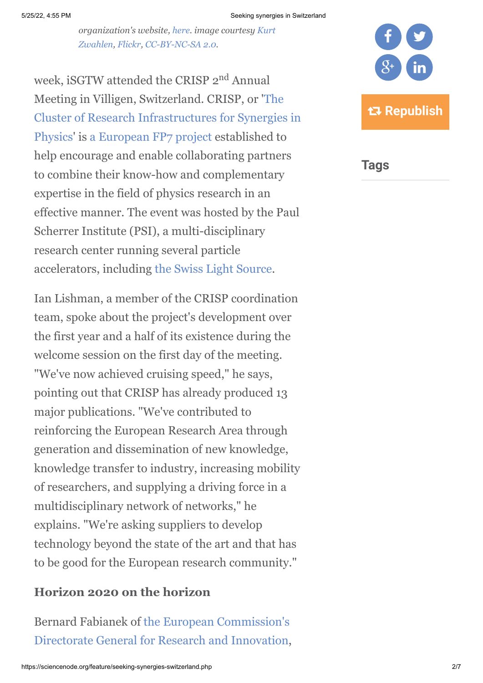#### 5/25/22, 4:55 PM Seeking synergies in Switzerland

*[organization's website, h](http://www.flickr.com/photos/gali_367/)[er](http://www.psi.ch/)[e. image courtesy Kurt](http://www.flickr.com/photos/gali_367/) Zwahlen, [Flickr, CC-BY-NC-SA 2.0.](http://www.flickr.com/photos/gali_367/7931716244/)*

week, iSGTW attended the CRISP 2<sup>nd</sup> Annual Meeting in Villigen, Switzerland. CRISP, or 'The [Cluster of Research Infrastructures for Synergies in](http://www.crisp-fp7.eu/) Physics' is [a European FP7 project](http://cordis.europa.eu/fp7/home_en.html) established to help encourage and enable collaborating partners to combine their know-how and complementary expertise in the field of physics research in an effective manner. The event was hosted by the Paul Scherrer Institute (PSI), a multi-disciplinary research center running several particle accelerators, including [the Swiss Light Source](http://www.psi.ch/sls/).

Ian Lishman, a member of the CRISP coordination team, spoke about the project's development over the first year and a half of its existence during the welcome session on the first day of the meeting. "We've now achieved cruising speed," he says, pointing out that CRISP has already produced 13 major publications. "We've contributed to reinforcing the European Research Area through generation and dissemination of new knowledge, knowledge transfer to industry, increasing mobility of researchers, and supplying a driving force in a multidisciplinary network of networks," he explains. "We're asking suppliers to develop technology beyond the state of the art and that has to be good for the European research community."

### **Horizon 2020 on the horizon**

Bernard Fabianek of the European Commission's [Directorate General for Research and Innovation,](http://ec.europa.eu/research/index.cfm?pg=home&lg=en)



**Tags**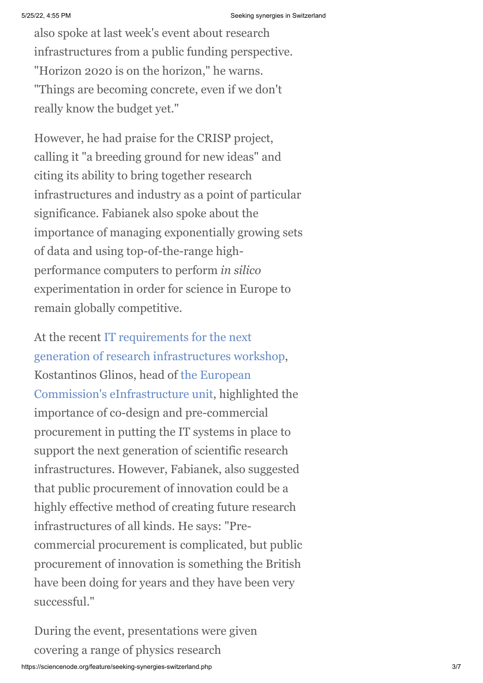also spoke at last week's event about research infrastructures from a public funding perspective. "Horizon 2020 is on the horizon," he warns. "Things are becoming concrete, even if we don't really know the budget yet."

However, he had praise for the CRISP project, calling it "a breeding ground for new ideas" and citing its ability to bring together research infrastructures and industry as a point of particular significance. Fabianek also spoke about the importance of managing exponentially growing sets of data and using top-of-the-range highperformance computers to perform *in silico* experimentation in order for science in Europe to remain globally competitive.

At the recent IT requirements for the next [generation of research infrastructures workshop](http://www.isgtw.org/feature/next-generation-scientific-computing), Kostantinos Glinos, head of the European [Commission's eInfrastructure unit, highlig](http://cordis.europa.eu/fp7/ict/e-infrastructure/)hted the importance of co-design and pre-commercial procurement in putting the IT systems in place to support the next generation of scientific research infrastructures. However, Fabianek, also suggested that public procurement of innovation could be a highly effective method of creating future research infrastructures of all kinds. He says: "Precommercial procurement is complicated, but public procurement of innovation is something the British have been doing for years and they have been very successful."

During the event, presentations were given covering a range of physics research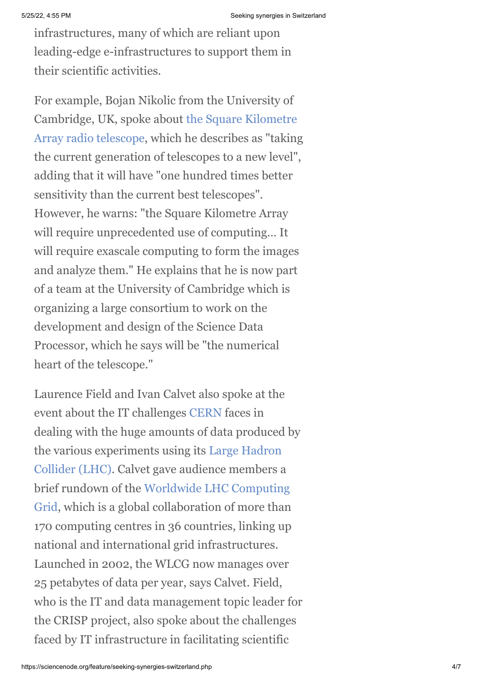infrastructures, many of which are reliant upon leading-edge e-infrastructures to support them in their scientific activities.

For example, Bojan Nikolic from the University of [Cambridge, UK, spoke about the Square Kilometre](http://www.skatelescope.org/) Array radio telescope, which he describes as "taking the current generation of telescopes to a new level", adding that it will have "one hundred times better sensitivity than the current best telescopes". However, he warns: "the Square Kilometre Array will require unprecedented use of computing… It will require exascale computing to form the images and analyze them." He explains that he is now part of a team at the University of Cambridge which is organizing a large consortium to work on the development and design of the Science Data Processor, which he says will be "the numerical heart of the telescope."

Laurence Field and Ivan Calvet also spoke at the event about the IT challenges [CERN](http://www.cern.ch/) faces in dealing with the huge amounts of data produced by [the various experiments using its Large Hadron](http://home.web.cern.ch/about/accelerators/large-hadron-collider) Collider (LHC). Calvet gave audience members a [brief rundown of the Worldwide LHC Computing](http://wlcg.web.cern.ch/) Grid, which is a global collaboration of more than 170 computing centres in 36 countries, linking up national and international grid infrastructures. Launched in 2002, the WLCG now manages over 25 petabytes of data per year, says Calvet. Field, who is the IT and data management topic leader for the CRISP project, also spoke about the challenges faced by IT infrastructure in facilitating scientific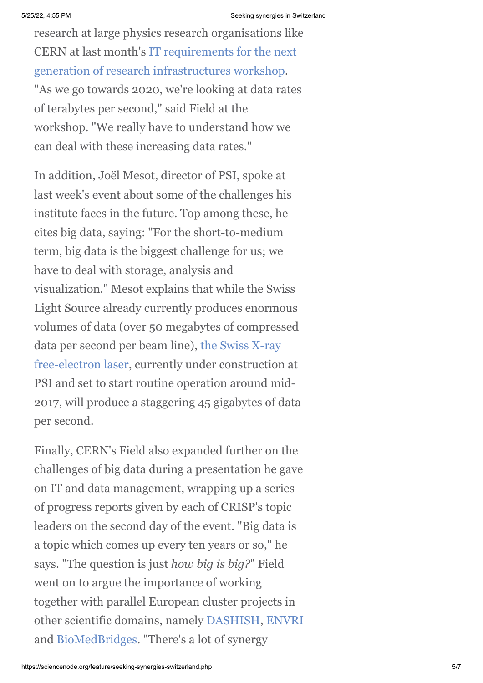research at large physics research organisations like [CERN at last month's IT requirements for the next](http://indico.cern.ch/conferenceDisplay.py?ovw=True&confId=212402) generation of research infrastructures workshop. "As we go towards 2020, we're looking at data rates of terabytes per second," said Field at the workshop. "We really have to understand how we can deal with these increasing data rates."

In addition, Joël Mesot, director of PSI, spoke at last week's event about some of the challenges his institute faces in the future. Top among these, he cites big data, saying: "For the short-to-medium term, big data is the biggest challenge for us; we have to deal with storage, analysis and visualization." Mesot explains that while the Swiss Light Source already currently produces enormous volumes of data (over 50 megabytes of compressed [data per second per beam line\), the Swiss X-ray](http://www.psi.ch/swissfel/) free-electron laser, currently under construction at PSI and set to start routine operation around mid-2017, will produce a staggering 45 gigabytes of data per second.

Finally, CERN's Field also expanded further on the challenges of big data during a presentation he gave on IT and data management, wrapping up a series of progress reports given by each of CRISP's topic leaders on the second day of the event. "Big data is a topic which comes up every ten years or so," he says. "The question is just *how big is big?*" Field went on to argue the importance of working together with parallel European cluster projects in other scientific domains, namely [DASHISH,](http://dasish.eu/about_dasish/) [ENVRI](http://envri.eu/) and [BioMedBridges](http://www.biomedbridges.eu/). "There's a lot of synergy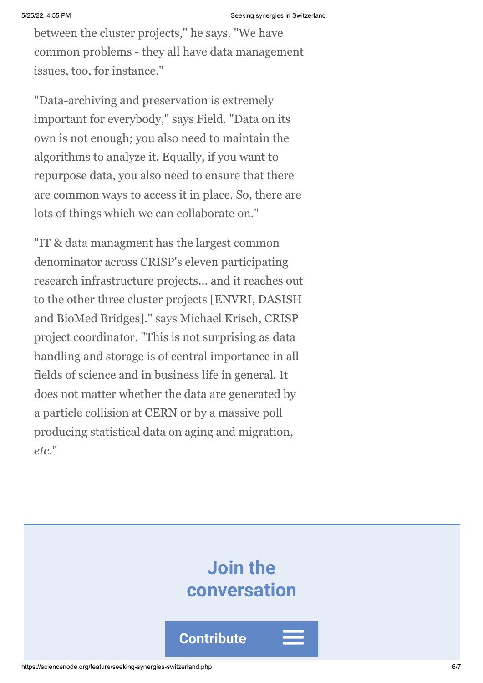between the cluster projects," he says. "We have common problems - they all have data management issues, too, for instance."

"Data-archiving and preservation is extremely important for everybody," says Field. "Data on its own is not enough; you also need to maintain the algorithms to analyze it. Equally, if you want to repurpose data, you also need to ensure that there are common ways to access it in place. So, there are lots of things which we can collaborate on."

"IT & data managment has the largest common denominator across CRISP's eleven participating research infrastructure projects... and it reaches out to the other three cluster projects [ENVRI, DASISH and BioMed Bridges]." says Michael Krisch, CRISP project coordinator. "This is not surprising as data handling and storage is of central importance in all fields of science and in business life in general. It does not matter whether the data are generated by a particle collision at CERN or by a massive poll producing statistical data on aging and migration, *etc*."